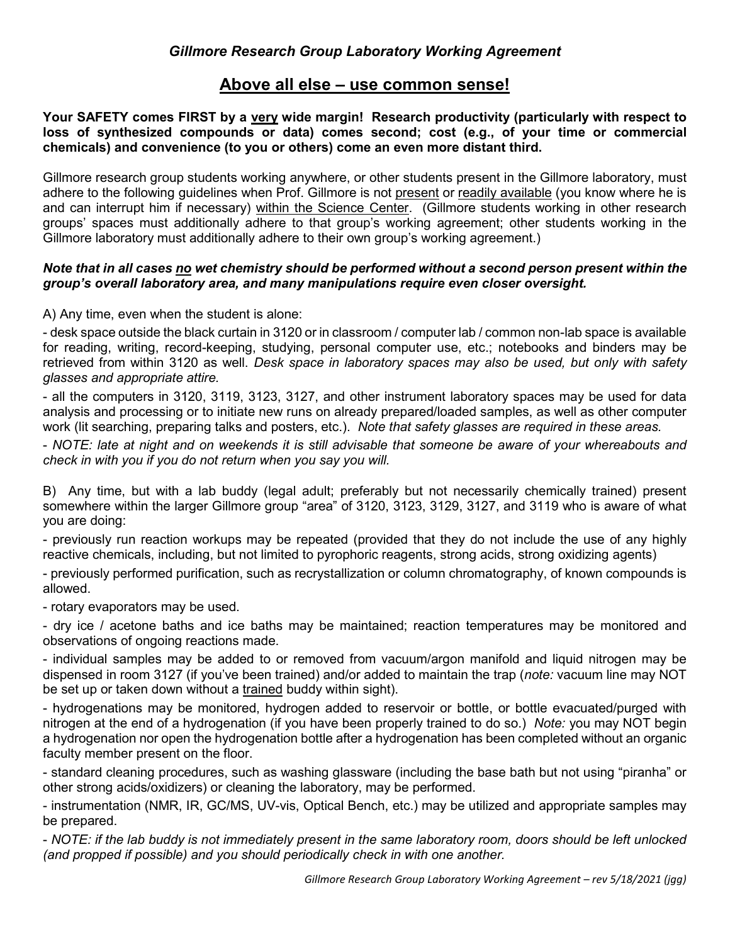## **Above all else – use common sense!**

**Your SAFETY comes FIRST by a very wide margin! Research productivity (particularly with respect to loss of synthesized compounds or data) comes second; cost (e.g., of your time or commercial chemicals) and convenience (to you or others) come an even more distant third.**

Gillmore research group students working anywhere, or other students present in the Gillmore laboratory, must adhere to the following guidelines when Prof. Gillmore is not present or readily available (you know where he is and can interrupt him if necessary) within the Science Center. (Gillmore students working in other research groups' spaces must additionally adhere to that group's working agreement; other students working in the Gillmore laboratory must additionally adhere to their own group's working agreement.)

## *Note that in all cases no wet chemistry should be performed without a second person present within the group's overall laboratory area, and many manipulations require even closer oversight.*

A) Any time, even when the student is alone:

- desk space outside the black curtain in 3120 or in classroom / computer lab / common non-lab space is available for reading, writing, record-keeping, studying, personal computer use, etc.; notebooks and binders may be retrieved from within 3120 as well. *Desk space in laboratory spaces may also be used, but only with safety glasses and appropriate attire.* 

- all the computers in 3120, 3119, 3123, 3127, and other instrument laboratory spaces may be used for data analysis and processing or to initiate new runs on already prepared/loaded samples, as well as other computer work (lit searching, preparing talks and posters, etc.). *Note that safety glasses are required in these areas.*

- *NOTE: late at night and on weekends it is still advisable that someone be aware of your whereabouts and check in with you if you do not return when you say you will.*

B) Any time, but with a lab buddy (legal adult; preferably but not necessarily chemically trained) present somewhere within the larger Gillmore group "area" of 3120, 3123, 3129, 3127, and 3119 who is aware of what you are doing:

- previously run reaction workups may be repeated (provided that they do not include the use of any highly reactive chemicals, including, but not limited to pyrophoric reagents, strong acids, strong oxidizing agents)

- previously performed purification, such as recrystallization or column chromatography, of known compounds is allowed.

- rotary evaporators may be used.

- dry ice / acetone baths and ice baths may be maintained; reaction temperatures may be monitored and observations of ongoing reactions made.

- individual samples may be added to or removed from vacuum/argon manifold and liquid nitrogen may be dispensed in room 3127 (if you've been trained) and/or added to maintain the trap (*note:* vacuum line may NOT be set up or taken down without a trained buddy within sight).

- hydrogenations may be monitored, hydrogen added to reservoir or bottle, or bottle evacuated/purged with nitrogen at the end of a hydrogenation (if you have been properly trained to do so.) *Note:* you may NOT begin a hydrogenation nor open the hydrogenation bottle after a hydrogenation has been completed without an organic faculty member present on the floor.

- standard cleaning procedures, such as washing glassware (including the base bath but not using "piranha" or other strong acids/oxidizers) or cleaning the laboratory, may be performed.

- instrumentation (NMR, IR, GC/MS, UV-vis, Optical Bench, etc.) may be utilized and appropriate samples may be prepared.

- *NOTE: if the lab buddy is not immediately present in the same laboratory room, doors should be left unlocked (and propped if possible) and you should periodically check in with one another.*